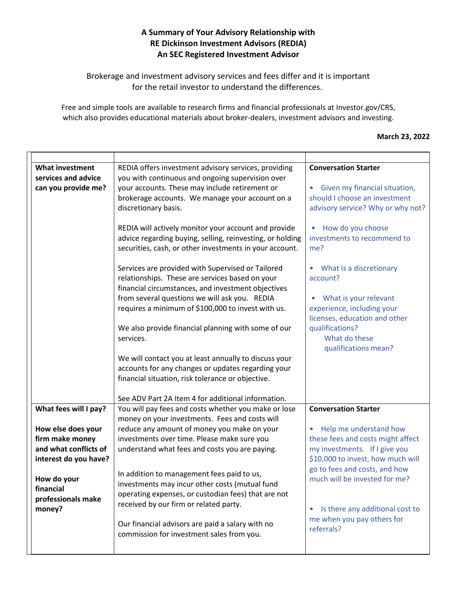## **A Summary of Your Advisory Relationship with RE Dickinson Investment Advisors (REDIA) An SEC Registered Investment Advisor**

Brokerage and investment advisory services and fees differ and it is important for the retail investor to understand the differences.

Free and simple tools are available to research firms and financial professionals at Investor.gov/CRS, which also provides educational materials about broker-dealers, investment advisors and investing.

## **March 23, 2022**

| <b>What investment</b><br>services and advice<br>can you provide me?                                                                                | REDIA offers investment advisory services, providing<br>you with continuous and ongoing supervision over<br>your accounts. These may include retirement or<br>brokerage accounts. We manage your account on a<br>discretionary basis.<br>REDIA will actively monitor your account and provide<br>advice regarding buying, selling, reinvesting, or holding<br>securities, cash, or other investments in your account.<br>Services are provided with Supervised or Tailored<br>relationships. These are services based on your<br>financial circumstances, and investment objectives<br>from several questions we will ask you. REDIA<br>requires a minimum of \$100,000 to invest with us.<br>We also provide financial planning with some of our<br>services.<br>We will contact you at least annually to discuss your<br>accounts for any changes or updates regarding your<br>financial situation, risk tolerance or objective. | <b>Conversation Starter</b><br>Given my financial situation,<br>$\bullet$<br>should I choose an investment<br>advisory service? Why or why not?<br>How do you choose<br>investments to recommend to<br>me?<br>• What is a discretionary<br>account?<br>What is your relevant<br>experience, including your<br>licenses, education and other<br>qualifications?<br>What do these<br>qualifications mean? |
|-----------------------------------------------------------------------------------------------------------------------------------------------------|------------------------------------------------------------------------------------------------------------------------------------------------------------------------------------------------------------------------------------------------------------------------------------------------------------------------------------------------------------------------------------------------------------------------------------------------------------------------------------------------------------------------------------------------------------------------------------------------------------------------------------------------------------------------------------------------------------------------------------------------------------------------------------------------------------------------------------------------------------------------------------------------------------------------------------|---------------------------------------------------------------------------------------------------------------------------------------------------------------------------------------------------------------------------------------------------------------------------------------------------------------------------------------------------------------------------------------------------------|
| What fees will I pay?                                                                                                                               | See ADV Part 2A Item 4 for additional information.<br>You will pay fees and costs whether you make or lose                                                                                                                                                                                                                                                                                                                                                                                                                                                                                                                                                                                                                                                                                                                                                                                                                         | <b>Conversation Starter</b>                                                                                                                                                                                                                                                                                                                                                                             |
| How else does your<br>firm make money<br>and what conflicts of<br>interest do you have?<br>How do your<br>financial<br>professionals make<br>money? | money on your investments. Fees and costs will<br>reduce any amount of money you make on your<br>investments over time. Please make sure you<br>understand what fees and costs you are paying.<br>In addition to management fees paid to us,<br>investments may incur other costs (mutual fund<br>operating expenses, or custodian fees) that are not<br>received by our firm or related party.<br>Our financial advisors are paid a salary with no<br>commission for investment sales from you.                                                                                                                                                                                                                                                                                                                                                                                                                                   | • Help me understand how<br>these fees and costs might affect<br>my investments. If I give you<br>\$10,000 to invest, how much will<br>go to fees and costs, and how<br>much will be invested for me?<br>Is there any additional cost to<br>$\bullet$<br>me when you pay others for<br>referrals?                                                                                                       |